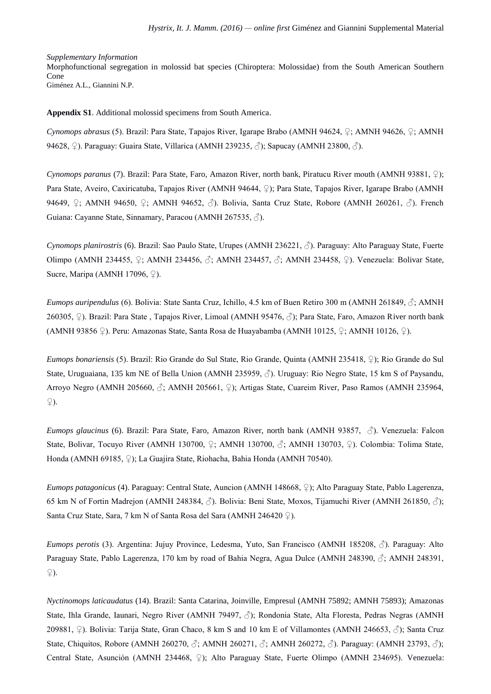## *Supplementary Information*

Morphofunctional segregation in molossid bat species (Chiroptera: Molossidae) from the South American Southern Cone Giménez A.L., Giannini N.P.

**Appendix S1**. Additional molossid specimens from South America.

*Cynomops abrasus* (5). Brazil: Para State, Tapajos River, Igarape Brabo (AMNH 94624, ♀; AMNH 94626, ♀; AMNH 94628, ♀). Paraguay: Guaira State, Villarica (AMNH 239235, ♂); Sapucay (AMNH 23800, *♂*).

*Cynomops paranus* (7). Brazil: Para State, Faro, Amazon River, north bank, Piratucu River mouth (AMNH 93881, ♀); Para State, Aveiro, Caxiricatuba, Tapajos River (AMNH 94644, ♀); Para State, Tapajos River, Igarape Brabo (AMNH 94649, ♀; AMNH 94650, ♀; AMNH 94652, ♂). Bolivia, Santa Cruz State, Robore (AMNH 260261, ♂). French Guiana: Cayanne State, Sinnamary, Paracou (AMNH 267535,  $\Diamond$ ).

*Cynomops planirostris* (6). Brazil: Sao Paulo State, Urupes (AMNH 236221, ♂). Paraguay: Alto Paraguay State, Fuerte Olimpo (AMNH 234455, ♀; AMNH 234456, ♂; AMNH 234457, ♂; AMNH 234458, ♀). Venezuela: Bolivar State, Sucre, Maripa (AMNH 17096,  $\varphi$ ).

*Eumops auripendulus* (6). Bolivia: State Santa Cruz, Ichillo, 4.5 km of Buen Retiro 300 m (AMNH 261849, ♂; AMNH 260305, ♀). Brazil: Para State , Tapajos River, Limoal (AMNH 95476, ♂); Para State, Faro, Amazon River north bank (AMNH 93856 ♀). Peru: Amazonas State, Santa Rosa de Huayabamba (AMNH 10125, ♀; AMNH 10126, ♀).

*Eumops bonariensis* (5). Brazil: Rio Grande do Sul State, Rio Grande, Quinta (AMNH 235418, ♀); Rio Grande do Sul State, Uruguaiana, 135 km NE of Bella Union (AMNH 235959, ♂). Uruguay: Rio Negro State, 15 km S of Paysandu, Arroyo Negro (AMNH 205660, ♂; AMNH 205661, ♀); Artigas State, Cuareim River, Paso Ramos (AMNH 235964,  $\mathcal{L}$ ).

*Eumops glaucinus* (6). Brazil: Para State, Faro, Amazon River, north bank (AMNH 93857, ♂). Venezuela: Falcon State, Bolivar, Tocuyo River (AMNH 130700, ♀; AMNH 130700, ♂; AMNH 130703, ♀). Colombia: Tolima State, Honda (AMNH 69185, ♀); La Guajira State, Riohacha, Bahia Honda (AMNH 70540).

*Eumops patagonicus* (4). Paraguay: Central State, Auncion (AMNH 148668, ♀); Alto Paraguay State, Pablo Lagerenza, 65 km N of Fortin Madrejon (AMNH 248384, ♂). Bolivia: Beni State, Moxos, Tijamuchi River (AMNH 261850, ♂); Santa Cruz State, Sara, 7 km N of Santa Rosa del Sara (AMNH 246420 ♀).

*Eumops perotis* (3). Argentina: Jujuy Province, Ledesma, Yuto, San Francisco (AMNH 185208, ♂). Paraguay: Alto Paraguay State, Pablo Lagerenza, 170 km by road of Bahia Negra, Agua Dulce (AMNH 248390, ♂; AMNH 248391, ♀).

*Nyctinomops laticaudatus* (14). Brazil: Santa Catarina, Joinville, Empresul (AMNH 75892; AMNH 75893); Amazonas State, Ihla Grande, Iaunari, Negro River (AMNH 79497, ♂); Rondonia State, Alta Floresta, Pedras Negras (AMNH 209881, ♀). Bolivia: Tarija State, Gran Chaco, 8 km S and 10 km E of Villamontes (AMNH 246653, ♂); Santa Cruz State, Chiquitos, Robore (AMNH 260270,  $\Im$ ; AMNH 260271,  $\Im$ ; AMNH 260272,  $\Im$ ). Paraguay: (AMNH 23793,  $\Im$ ); Central State, Asunción (AMNH 234468, ♀); Alto Paraguay State, Fuerte Olimpo (AMNH 234695). Venezuela: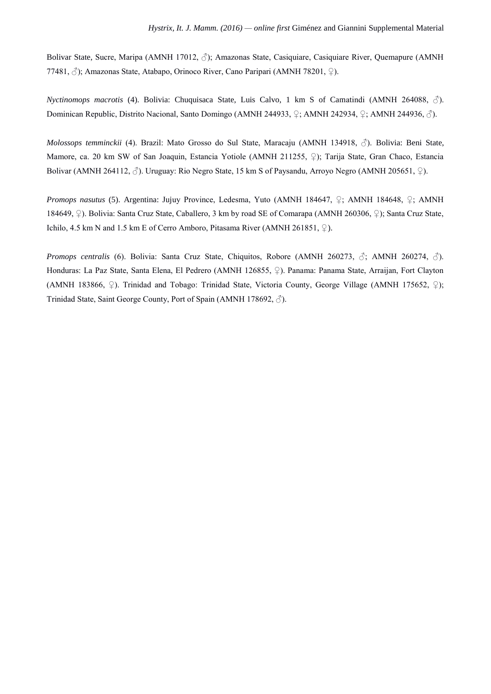Bolivar State, Sucre, Maripa (AMNH 17012, ♂); Amazonas State, Casiquiare, Casiquiare River, Quemapure (AMNH 77481, ♂); Amazonas State, Atabapo, Orinoco River, Cano Paripari (AMNH 78201, ♀).

*Nyctinomops macrotis* (4). Bolivia: Chuquisaca State, Luis Calvo, 1 km S of Camatindi (AMNH 264088, ♂). Dominican Republic, Distrito Nacional, Santo Domingo (AMNH 244933, ♀; AMNH 242934, ♀; AMNH 244936, ♂).

*Molossops temminckii* (4). Brazil: Mato Grosso do Sul State, Maracaju (AMNH 134918, ♂). Bolivia: Beni State, Mamore, ca. 20 km SW of San Joaquin, Estancia Yotiole (AMNH 211255, ♀); Tarija State, Gran Chaco, Estancia Bolivar (AMNH 264112,  $\Diamond$ ). Uruguay: Rio Negro State, 15 km S of Paysandu, Arroyo Negro (AMNH 205651,  $\Diamond$ ).

*Promops nasutus* (5). Argentina: Jujuy Province, Ledesma, Yuto (AMNH 184647, ♀; AMNH 184648, ♀; AMNH 184649, ♀). Bolivia: Santa Cruz State, Caballero, 3 km by road SE of Comarapa (AMNH 260306, ♀); Santa Cruz State, Ichilo, 4.5 km N and 1.5 km E of Cerro Amboro, Pitasama River (AMNH 261851,  $\circ$ ).

*Promops centralis* (6). Bolivia: Santa Cruz State, Chiquitos, Robore (AMNH 260273, ♂; AMNH 260274, ♂). Honduras: La Paz State, Santa Elena, El Pedrero (AMNH 126855, ♀). Panama: Panama State, Arraijan, Fort Clayton (AMNH 183866, ♀). Trinidad and Tobago: Trinidad State, Victoria County, George Village (AMNH 175652, ♀); Trinidad State, Saint George County, Port of Spain (AMNH 178692, ♂).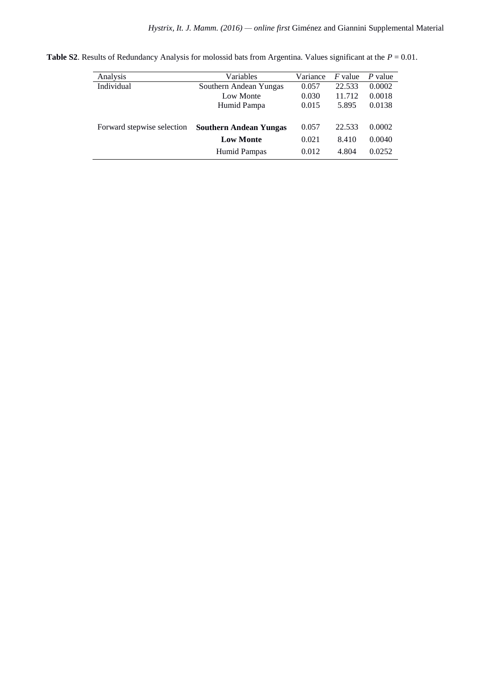| Analysis                   | Variables                     | Variance | $F$ value | P value |
|----------------------------|-------------------------------|----------|-----------|---------|
| Individual                 | Southern Andean Yungas        | 0.057    | 22.533    | 0.0002  |
|                            | Low Monte                     | 0.030    | 11.712    | 0.0018  |
|                            | Humid Pampa                   | 0.015    | 5.895     | 0.0138  |
|                            |                               |          |           |         |
| Forward stepwise selection | <b>Southern Andean Yungas</b> | 0.057    | 22.533    | 0.0002  |
|                            | <b>Low Monte</b>              | 0.021    | 8.410     | 0.0040  |
|                            | Humid Pampas                  | 0.012    | 4.804     | 0.0252  |

**Table S2**. Results of Redundancy Analysis for molossid bats from Argentina. Values significant at the *P* = 0.01.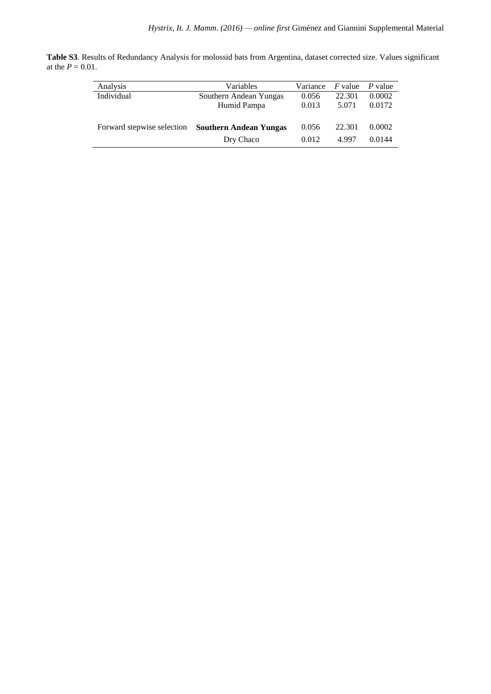**Table S3**. Results of Redundancy Analysis for molossid bats from Argentina, dataset corrected size. Values significant at the  $P = 0.01$ .

| Analysis                   | Variables                     | Variance | <i>F</i> value | P value |
|----------------------------|-------------------------------|----------|----------------|---------|
| Individual                 | Southern Andean Yungas        | 0.056    | 22.301         | 0.0002  |
|                            | Humid Pampa                   | 0.013    | 5.071          | 0.0172  |
| Forward stepwise selection | <b>Southern Andean Yungas</b> | 0.056    | 22.301         | 0.0002  |
|                            | Dry Chaco                     | 0.012    | 4.997          | 0.0144  |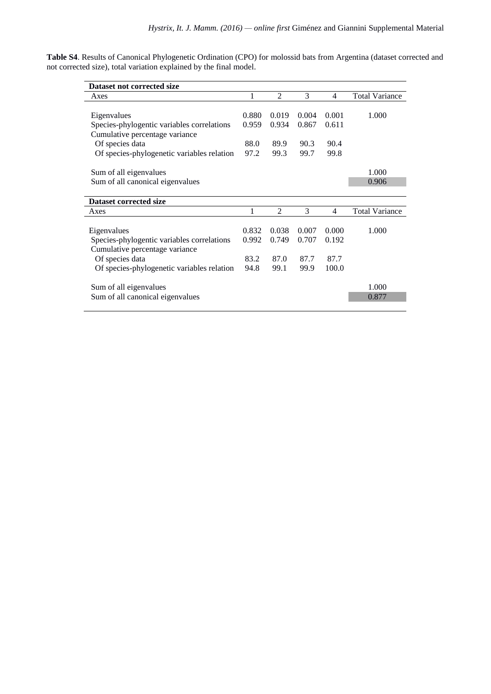**Table S4**. Results of Canonical Phylogenetic Ordination (CPO) for molossid bats from Argentina (dataset corrected and not corrected size), total variation explained by the final model.

| Dataset not corrected size                 |       |                |       |                |                       |
|--------------------------------------------|-------|----------------|-------|----------------|-----------------------|
| Axes                                       | 1     | $\overline{2}$ | 3     | $\overline{4}$ | <b>Total Variance</b> |
|                                            |       |                |       |                |                       |
| Eigenvalues                                | 0.880 | 0.019          | 0.004 | 0.001          | 1.000                 |
| Species-phylogentic variables correlations | 0.959 | 0.934          | 0.867 | 0.611          |                       |
| Cumulative percentage variance             |       |                |       |                |                       |
| Of species data                            | 88.0  | 89.9           | 90.3  | 90.4           |                       |
| Of species-phylogenetic variables relation | 97.2  | 99.3           | 99.7  | 99.8           |                       |
|                                            |       |                |       |                |                       |
| Sum of all eigenvalues                     |       |                |       |                | 1.000                 |
| Sum of all canonical eigenvalues           |       |                |       |                | 0.906                 |
|                                            |       |                |       |                |                       |
| Dataset corrected size                     |       |                |       |                |                       |
| Axes                                       | 1     | $\overline{2}$ | 3     | $\overline{4}$ | <b>Total Variance</b> |
|                                            |       |                |       |                |                       |
| Eigenvalues                                | 0.832 | 0.038          | 0.007 | 0.000          | 1.000                 |
| Species-phylogentic variables correlations | 0.992 | 0.749          | 0.707 | 0.192          |                       |
| Cumulative percentage variance             |       |                |       |                |                       |
| Of species data                            | 83.2  | 87.0           | 87.7  | 87.7           |                       |
| Of species-phylogenetic variables relation | 94.8  | 99.1           | 99.9  | 100.0          |                       |
|                                            |       |                |       |                |                       |
| Sum of all eigenvalues                     |       |                |       |                | 1.000                 |
| Sum of all canonical eigenvalues           |       |                |       |                | 0.877                 |
|                                            |       |                |       |                |                       |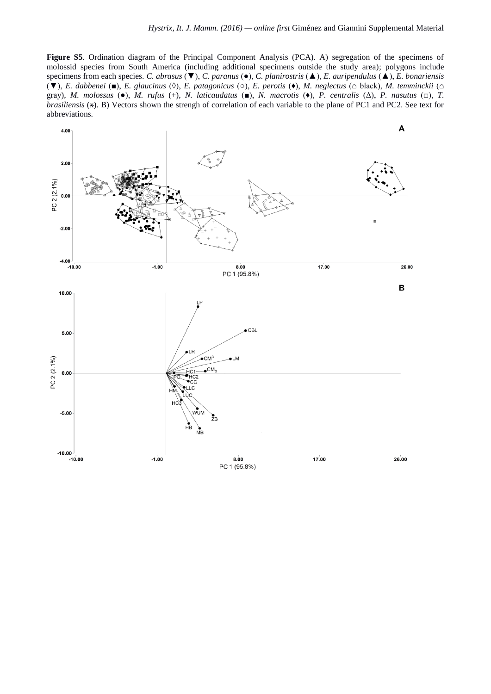**Figure S5**. Ordination diagram of the Principal Component Analysis (PCA). A) segregation of the specimens of molossid species from South America (including additional specimens outside the study area); polygons include specimens from each species. *C. abrasus* (▼), *C. paranus* (●), *C. planirostris* (▲), *E. auripendulus* (▲), *E. bonariensis* (▼), *E. dabbenei* (■), *E. glaucinus* (◊), *E. patagonicus* (○), *E. perotis* (♦), *M. neglectus* (⌂ black), *M. temminckii* (⌂ gray), *M. molossus* (●), *M. rufus* (+), *N. laticaudatus* (■), *N. macrotis* (♦), *P. centralis* (Δ), *P. nasutus* (□), *T. brasiliensis* ( $\star$ ). B) Vectors shown the strengh of correlation of each variable to the plane of PC1 and PC2. See text for abbreviations.

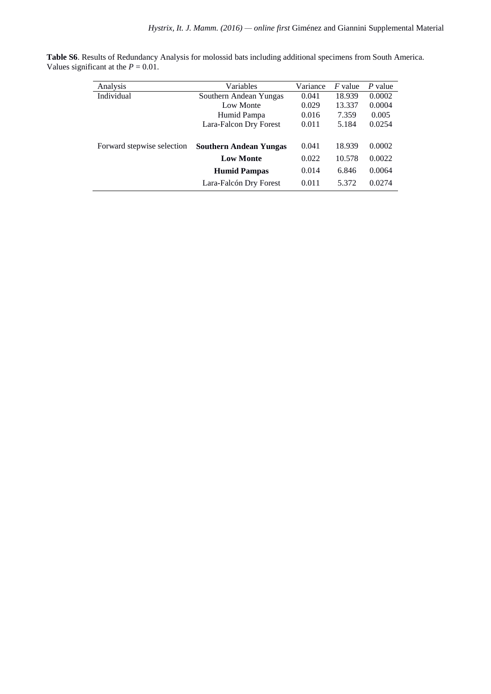| Analysis                   | Variables                     | Variance | $F$ value | P value |
|----------------------------|-------------------------------|----------|-----------|---------|
| Individual                 | Southern Andean Yungas        | 0.041    | 18.939    | 0.0002  |
|                            | Low Monte                     | 0.029    | 13.337    | 0.0004  |
|                            | Humid Pampa                   | 0.016    | 7.359     | 0.005   |
|                            | Lara-Falcon Dry Forest        | 0.011    | 5.184     | 0.0254  |
|                            |                               |          |           |         |
| Forward stepwise selection | <b>Southern Andean Yungas</b> | 0.041    | 18.939    | 0.0002  |
|                            | <b>Low Monte</b>              | 0.022    | 10.578    | 0.0022  |
|                            | <b>Humid Pampas</b>           | 0.014    | 6.846     | 0.0064  |
|                            | Lara-Falcón Dry Forest        | 0.011    | 5.372     | 0.0274  |

**Table S6**. Results of Redundancy Analysis for molossid bats including additional specimens from South America. Values significant at the  $P = 0.01$ .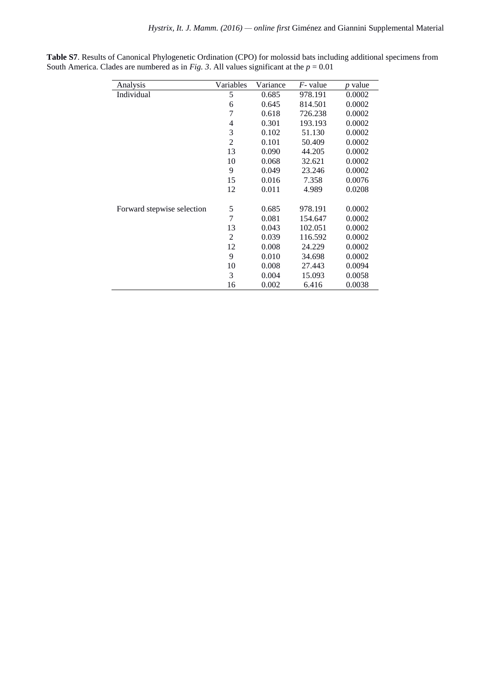| Analysis                   | Variables      | Variance | $F$ - value | p value |
|----------------------------|----------------|----------|-------------|---------|
| Individual                 | 5              | 0.685    | 978.191     | 0.0002  |
|                            | 6              | 0.645    | 814.501     | 0.0002  |
|                            | 7              | 0.618    | 726.238     | 0.0002  |
|                            | 4              | 0.301    | 193.193     | 0.0002  |
|                            | 3              | 0.102    | 51.130      | 0.0002  |
|                            | $\overline{2}$ | 0.101    | 50.409      | 0.0002  |
|                            | 13             | 0.090    | 44.205      | 0.0002  |
|                            | 10             | 0.068    | 32.621      | 0.0002  |
|                            | 9              | 0.049    | 23.246      | 0.0002  |
|                            | 15             | 0.016    | 7.358       | 0.0076  |
|                            | 12             | 0.011    | 4.989       | 0.0208  |
| Forward stepwise selection | 5              | 0.685    | 978.191     | 0.0002  |
|                            | 7              | 0.081    | 154.647     | 0.0002  |
|                            | 13             | 0.043    | 102.051     | 0.0002  |
|                            | 2              | 0.039    | 116.592     | 0.0002  |
|                            | 12             | 0.008    | 24.229      | 0.0002  |
|                            | 9              | 0.010    | 34.698      | 0.0002  |
|                            | 10             | 0.008    | 27.443      | 0.0094  |
|                            | 3              | 0.004    | 15.093      | 0.0058  |
|                            | 16             | 0.002    | 6.416       | 0.0038  |

**Table S7**. Results of Canonical Phylogenetic Ordination (CPO) for molossid bats including additional specimens from South America. Clades are numbered as in *Fig. 3*. All values significant at the *p* = 0.01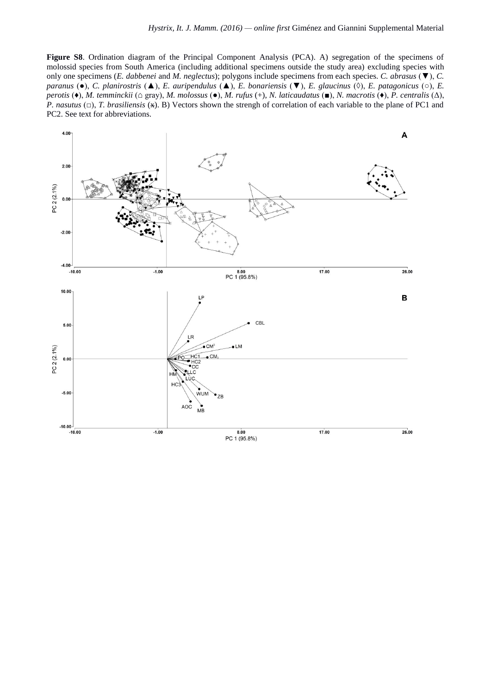**Figure S8**. Ordination diagram of the Principal Component Analysis (PCA). A) segregation of the specimens of molossid species from South America (including additional specimens outside the study area) excluding species with only one specimens (*E. dabbenei* and *M. neglectus*); polygons include specimens from each species. *C. abrasus* (▼), *C. paranus* (●), *C. planirostris* (▲), *E. auripendulus* (▲), *E. bonariensis* (▼), *E. glaucinus* (◊), *E. patagonicus* (○), *E. perotis* (♦), *M. temminckii* (⌂ gray), *M. molossus* (●), *M. rufus* (+), *N. laticaudatus* (■), *N. macrotis* (♦), *P. centralis* (Δ), *P. nasutus* (□), *T. brasiliensis* ( $\angle$ ). B) Vectors shown the strengh of correlation of each variable to the plane of PC1 and PC2. See text for abbreviations.

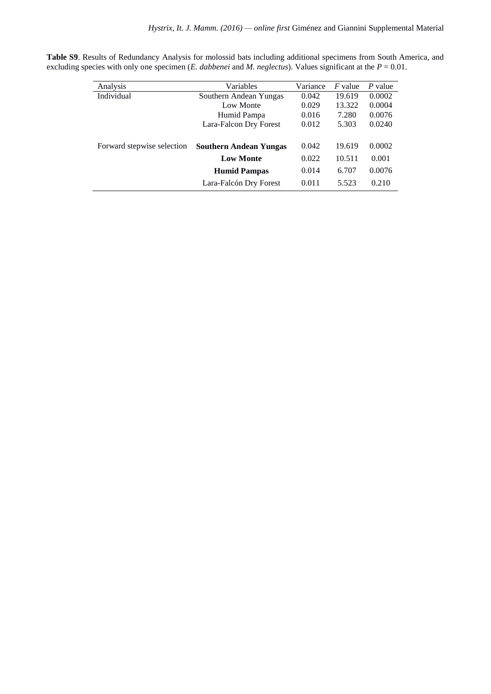| Analysis                   | Variables                     | Variance | <i>F</i> value | P value |
|----------------------------|-------------------------------|----------|----------------|---------|
| Individual                 | Southern Andean Yungas        | 0.042    | 19.619         | 0.0002  |
|                            | Low Monte                     | 0.029    | 13.322         | 0.0004  |
|                            | Humid Pampa                   | 0.016    | 7.280          | 0.0076  |
|                            | Lara-Falcon Dry Forest        | 0.012    | 5.303          | 0.0240  |
|                            |                               |          |                |         |
| Forward stepwise selection | <b>Southern Andean Yungas</b> | 0.042    | 19.619         | 0.0002  |
|                            | <b>Low Monte</b>              | 0.022    | 10.511         | 0.001   |
|                            | <b>Humid Pampas</b>           | 0.014    | 6.707          | 0.0076  |
|                            | Lara-Falcón Dry Forest        | 0.011    | 5.523          | 0.210   |

**Table S9**. Results of Redundancy Analysis for molossid bats including additional specimens from South America, and excluding species with only one specimen (*E. dabbenei* and *M. neglectus*). Values significant at the *P* = 0.01.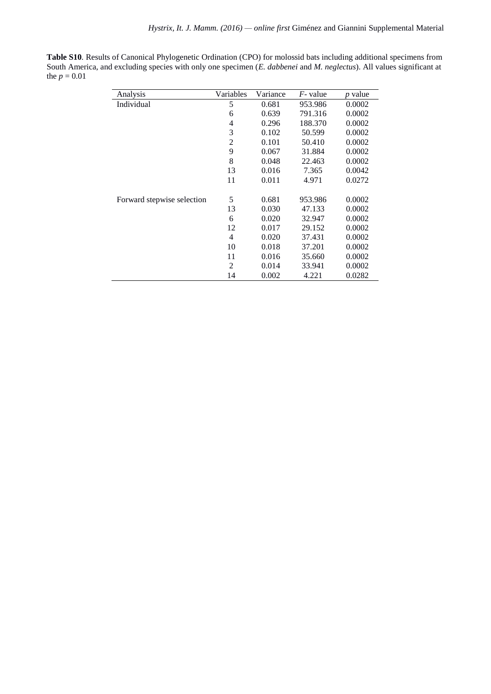**Table S10***.* Results of Canonical Phylogenetic Ordination (CPO) for molossid bats including additional specimens from South America, and excluding species with only one specimen (*E. dabbenei* and *M. neglectus*). All values significant at the  $p = 0.01$ 

| Analysis                   | Variables | Variance | $F$ - value | $p$ value |
|----------------------------|-----------|----------|-------------|-----------|
|                            |           |          |             |           |
| Individual                 | 5         | 0.681    | 953.986     | 0.0002    |
|                            | 6         | 0.639    | 791.316     | 0.0002    |
|                            | 4         | 0.296    | 188.370     | 0.0002    |
|                            | 3         | 0.102    | 50.599      | 0.0002    |
|                            | 2         | 0.101    | 50.410      | 0.0002    |
|                            | 9         | 0.067    | 31.884      | 0.0002    |
|                            | 8         | 0.048    | 22.463      | 0.0002    |
|                            | 13        | 0.016    | 7.365       | 0.0042    |
|                            | 11        | 0.011    | 4.971       | 0.0272    |
| Forward stepwise selection | 5         | 0.681    | 953.986     | 0.0002    |
|                            | 13        | 0.030    | 47.133      | 0.0002    |
|                            | 6         | 0.020    | 32.947      | 0.0002    |
|                            | 12        | 0.017    | 29.152      | 0.0002    |
|                            | 4         | 0.020    | 37.431      | 0.0002    |
|                            | 10        | 0.018    | 37.201      | 0.0002    |
|                            | 11        | 0.016    | 35.660      | 0.0002    |
|                            | 2         | 0.014    | 33.941      | 0.0002    |
|                            | 14        | 0.002    | 4.221       | 0.0282    |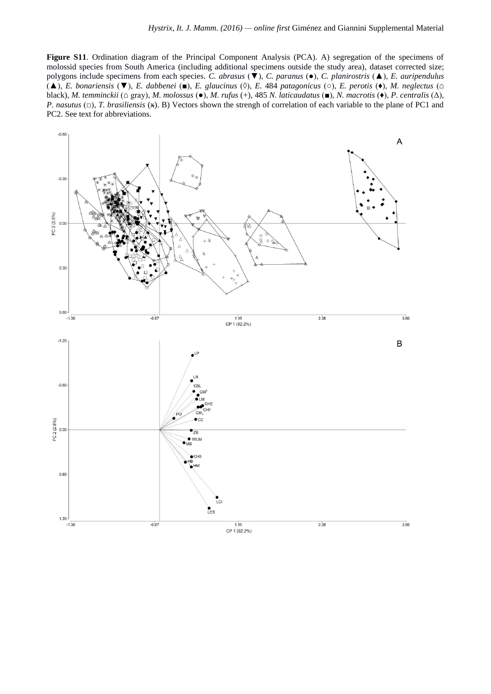**Figure S11**. Ordination diagram of the Principal Component Analysis (PCA). A) segregation of the specimens of molossid species from South America (including additional specimens outside the study area), dataset corrected size; polygons include specimens from each species. *C. abrasus* (▼), *C. paranus* (●), *C. planirostris* (▲), *E. auripendulus*  (▲), *E. bonariensis* (▼), *E. dabbenei* (■), *E. glaucinus* (◊), *E.* 484 *patagonicus* (○), *E. perotis* (♦), *M. neglectus* (⌂ black), *M. temminckii* (⌂ gray), *M. molossus* (●), *M. rufus* (+), 485 *N. laticaudatus* (■), *N. macrotis* (♦), *P. centralis* (Δ), *P. nasutus* (□), *T. brasiliensis* ( $\star$ ). B) Vectors shown the strengh of correlation of each variable to the plane of PC1 and PC2. See text for abbreviations.

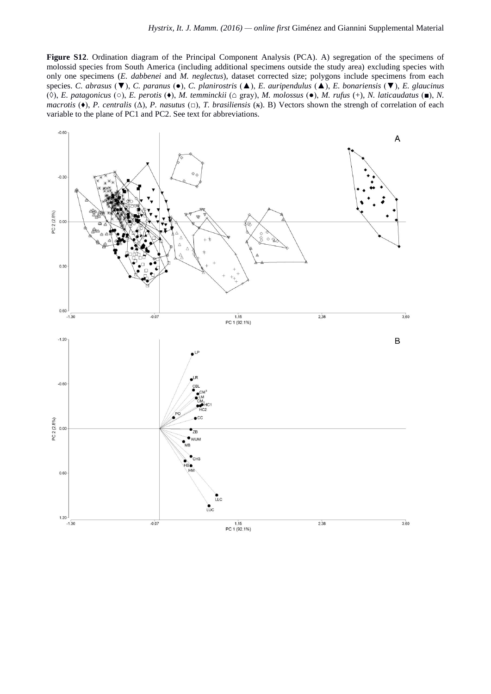**Figure S12**. Ordination diagram of the Principal Component Analysis (PCA). A) segregation of the specimens of molossid species from South America (including additional specimens outside the study area) excluding species with only one specimens (*E. dabbenei* and *M. neglectus*), dataset corrected size; polygons include specimens from each species. *C. abrasus* (▼), *C. paranus* (●), *C. planirostris* (▲), *E. auripendulus* (▲), *E. bonariensis* (▼), *E. glaucinus*  (◊), *E. patagonicus* (○), *E. perotis* (♦), *M. temminckii* (⌂ gray), *M. molossus* (●), *M. rufus* (+), *N. laticaudatus* (■), *N. macrotis* (♦), *P. centralis* (Δ), *P. nasutus* (□), *T. brasiliensis* ( $\star$ ). B) Vectors shown the strengh of correlation of each variable to the plane of PC1 and PC2. See text for abbreviations.

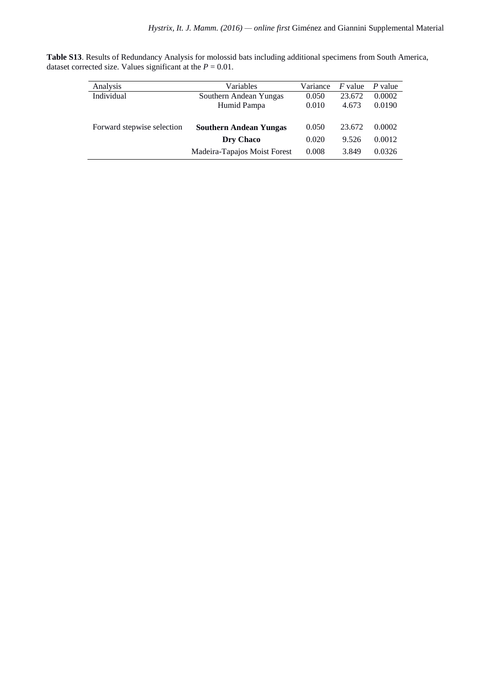|                                                                |  |  | Table S13. Results of Redundancy Analysis for molossid bats including additional specimens from South America, |  |  |
|----------------------------------------------------------------|--|--|----------------------------------------------------------------------------------------------------------------|--|--|
| dataset corrected size. Values significant at the $P = 0.01$ . |  |  |                                                                                                                |  |  |

| Analysis                   | Variables                     | Variance | <i>F</i> value | P value |
|----------------------------|-------------------------------|----------|----------------|---------|
| Individual                 | Southern Andean Yungas        | 0.050    | 23.672         | 0.0002  |
|                            | Humid Pampa                   | 0.010    | 4.673          | 0.0190  |
|                            |                               |          |                |         |
| Forward stepwise selection | <b>Southern Andean Yungas</b> | 0.050    | 23.672         | 0.0002  |
|                            | Dry Chaco                     | 0.020    | 9.526          | 0.0012  |
|                            | Madeira-Tapajos Moist Forest  | 0.008    | 3.849          | 0.0326  |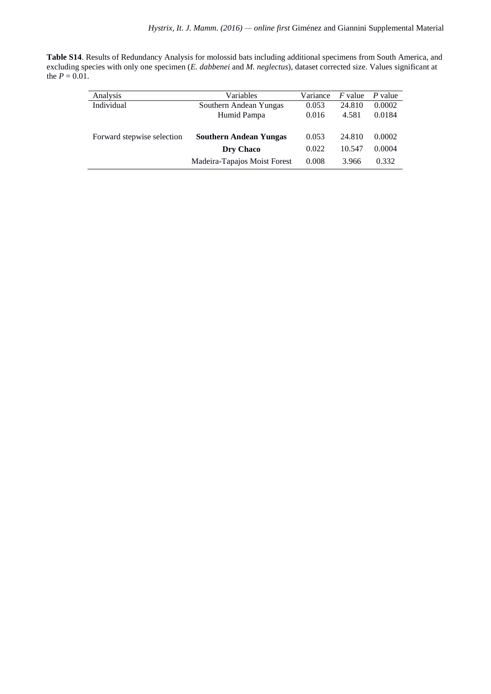| Table S14. Results of Redundancy Analysis for molossid bats including additional specimens from South America, and     |
|------------------------------------------------------------------------------------------------------------------------|
| excluding species with only one specimen (E. dabbenei and M. neglectus), dataset corrected size. Values significant at |
| the $P = 0.01$ .                                                                                                       |

| Analysis                   | Variables                     | Variance | $F$ value | P value |
|----------------------------|-------------------------------|----------|-----------|---------|
| Individual                 | Southern Andean Yungas        | 0.053    | 24.810    | 0.0002  |
|                            | Humid Pampa                   | 0.016    | 4.581     | 0.0184  |
| Forward stepwise selection | <b>Southern Andean Yungas</b> | 0.053    | 24.810    | 0.0002  |
|                            | Dry Chaco                     | 0.022    | 10.547    | 0.0004  |
|                            | Madeira-Tapajos Moist Forest  | 0.008    | 3.966     | 0.332   |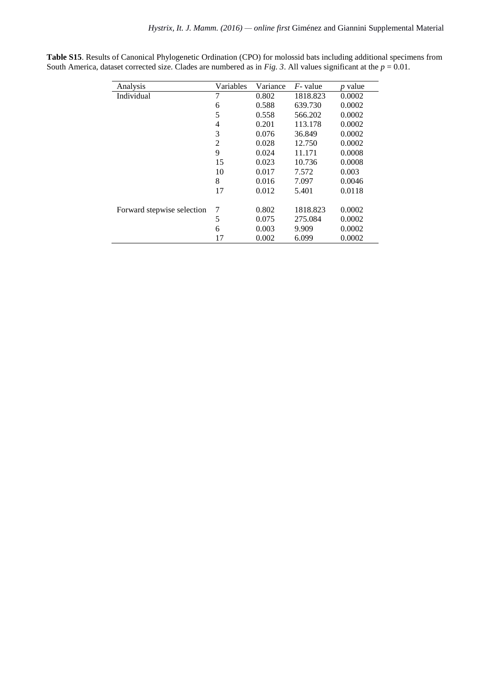| Analysis                   | Variables | Variance | $F$ - value | <i>p</i> value |
|----------------------------|-----------|----------|-------------|----------------|
| Individual                 | 7         | 0.802    | 1818.823    | 0.0002         |
|                            | 6         | 0.588    | 639.730     | 0.0002         |
|                            | 5         | 0.558    | 566.202     | 0.0002         |
|                            | 4         | 0.201    | 113.178     | 0.0002         |
|                            | 3         | 0.076    | 36.849      | 0.0002         |
|                            | 2         | 0.028    | 12.750      | 0.0002         |
|                            | 9         | 0.024    | 11.171      | 0.0008         |
|                            | 15        | 0.023    | 10.736      | 0.0008         |
|                            | 10        | 0.017    | 7.572       | 0.003          |
|                            | 8         | 0.016    | 7.097       | 0.0046         |
|                            | 17        | 0.012    | 5.401       | 0.0118         |
| Forward stepwise selection | 7         | 0.802    | 1818.823    | 0.0002         |
|                            | 5         | 0.075    | 275.084     | 0.0002         |
|                            | 6         | 0.003    | 9.909       | 0.0002         |
|                            | 17        | 0.002    | 6.099       | 0.0002         |

**Table S15**. Results of Canonical Phylogenetic Ordination (CPO) for molossid bats including additional specimens from South America, dataset corrected size. Clades are numbered as in *Fig. 3*. All values significant at the  $p = 0.01$ .